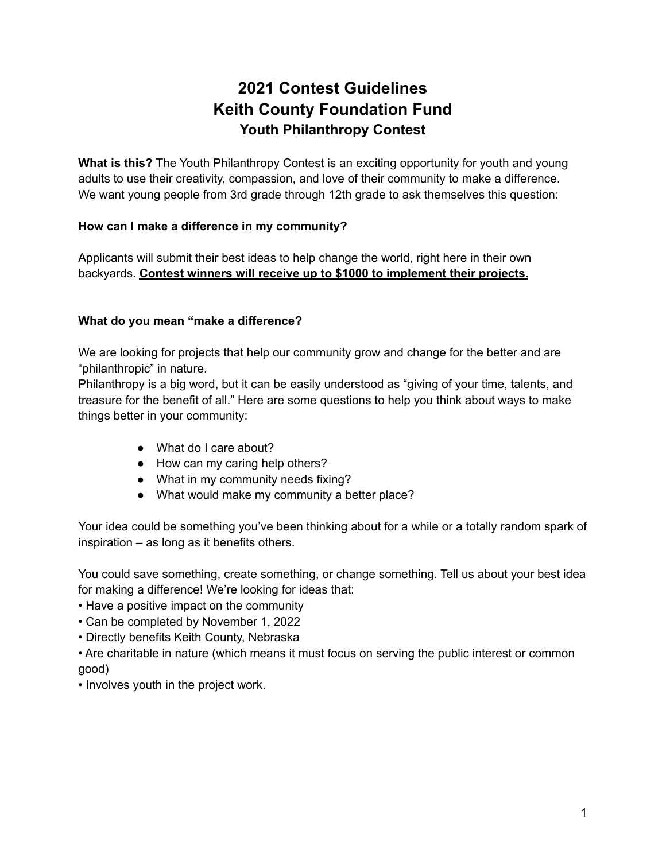# **2021 Contest Guidelines Keith County Foundation Fund Youth Philanthropy Contest**

**What is this?** The Youth Philanthropy Contest is an exciting opportunity for youth and young adults to use their creativity, compassion, and love of their community to make a difference. We want young people from 3rd grade through 12th grade to ask themselves this question:

# **How can I make a difference in my community?**

Applicants will submit their best ideas to help change the world, right here in their own backyards. **Contest winners will receive up to \$1000 to implement their projects.**

# **What do you mean "make a difference?**

We are looking for projects that help our community grow and change for the better and are "philanthropic" in nature.

Philanthropy is a big word, but it can be easily understood as "giving of your time, talents, and treasure for the benefit of all." Here are some questions to help you think about ways to make things better in your community:

- What do I care about?
- How can my caring help others?
- What in my community needs fixing?
- What would make my community a better place?

Your idea could be something you've been thinking about for a while or a totally random spark of inspiration – as long as it benefits others.

You could save something, create something, or change something. Tell us about your best idea for making a difference! We're looking for ideas that:

- Have a positive impact on the community
- Can be completed by November 1, 2022
- Directly benefits Keith County, Nebraska
- Are charitable in nature (which means it must focus on serving the public interest or common good)
- Involves youth in the project work.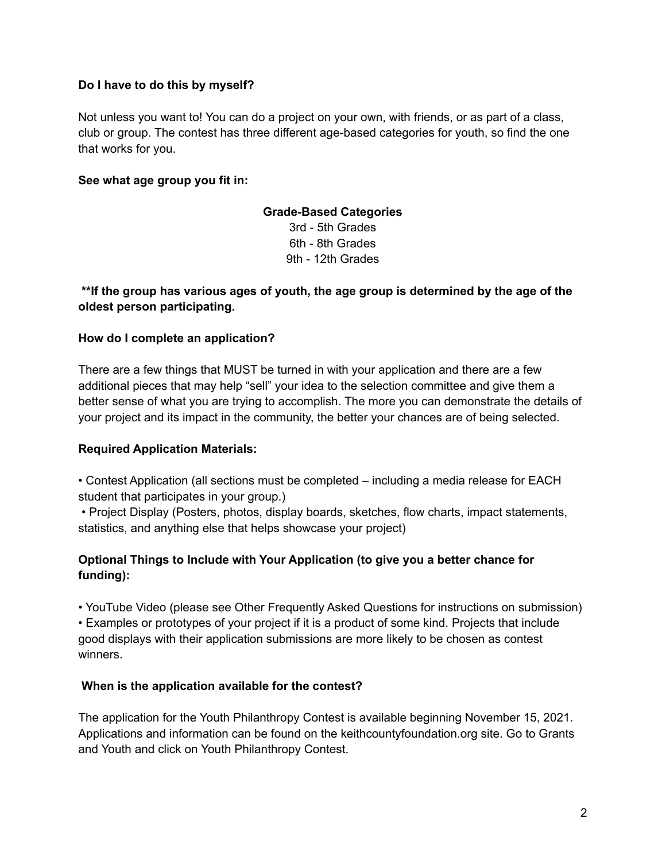### **Do I have to do this by myself?**

Not unless you want to! You can do a project on your own, with friends, or as part of a class, club or group. The contest has three different age-based categories for youth, so find the one that works for you.

### **See what age group you fit in:**

# **Grade-Based Categories**

3rd - 5th Grades 6th - 8th Grades 9th - 12th Grades

# **\*\*If the group has various ages of youth, the age group is determined by the age of the oldest person participating.**

#### **How do I complete an application?**

There are a few things that MUST be turned in with your application and there are a few additional pieces that may help "sell" your idea to the selection committee and give them a better sense of what you are trying to accomplish. The more you can demonstrate the details of your project and its impact in the community, the better your chances are of being selected.

#### **Required Application Materials:**

• Contest Application (all sections must be completed – including a media release for EACH student that participates in your group.)

• Project Display (Posters, photos, display boards, sketches, flow charts, impact statements, statistics, and anything else that helps showcase your project)

# **Optional Things to Include with Your Application (to give you a better chance for funding):**

• YouTube Video (please see Other Frequently Asked Questions for instructions on submission) • Examples or prototypes of your project if it is a product of some kind. Projects that include good displays with their application submissions are more likely to be chosen as contest winners.

#### **When is the application available for the contest?**

The application for the Youth Philanthropy Contest is available beginning November 15, 2021. Applications and information can be found on the keithcountyfoundation.org site. Go to Grants and Youth and click on Youth Philanthropy Contest.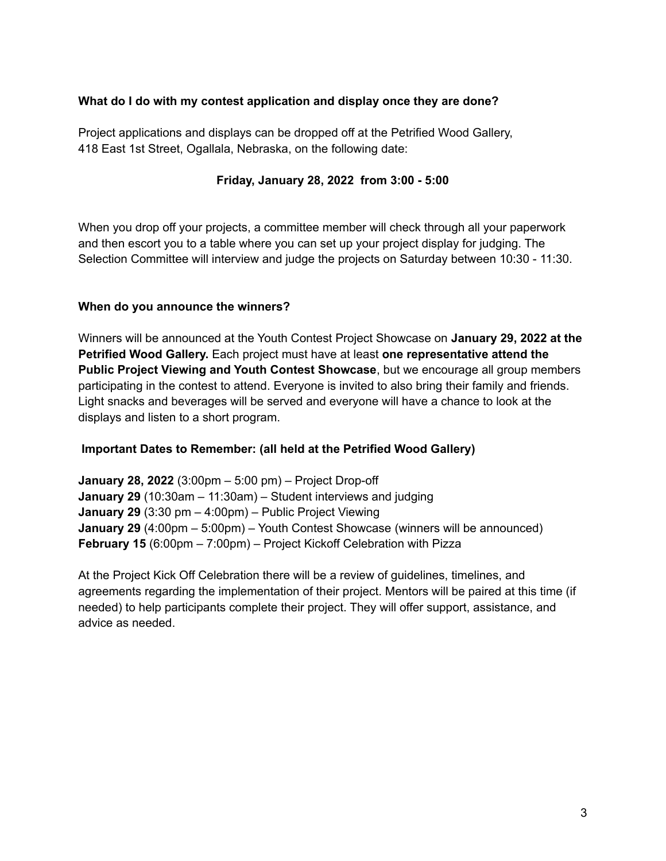### **What do I do with my contest application and display once they are done?**

Project applications and displays can be dropped off at the Petrified Wood Gallery, 418 East 1st Street, Ogallala, Nebraska, on the following date:

### **Friday, January 28, 2022 from 3:00 - 5:00**

When you drop off your projects, a committee member will check through all your paperwork and then escort you to a table where you can set up your project display for judging. The Selection Committee will interview and judge the projects on Saturday between 10:30 - 11:30.

### **When do you announce the winners?**

Winners will be announced at the Youth Contest Project Showcase on **January 29, 2022 at the Petrified Wood Gallery.** Each project must have at least **one representative attend the Public Project Viewing and Youth Contest Showcase**, but we encourage all group members participating in the contest to attend. Everyone is invited to also bring their family and friends. Light snacks and beverages will be served and everyone will have a chance to look at the displays and listen to a short program.

#### **Important Dates to Remember: (all held at the Petrified Wood Gallery)**

**January 28, 2022** (3:00pm – 5:00 pm) – Project Drop-off **January 29** (10:30am – 11:30am) – Student interviews and judging **January 29** (3:30 pm – 4:00pm) – Public Project Viewing **January 29** (4:00pm – 5:00pm) – Youth Contest Showcase (winners will be announced) **February 15** (6:00pm – 7:00pm) – Project Kickoff Celebration with Pizza

At the Project Kick Off Celebration there will be a review of guidelines, timelines, and agreements regarding the implementation of their project. Mentors will be paired at this time (if needed) to help participants complete their project. They will offer support, assistance, and advice as needed.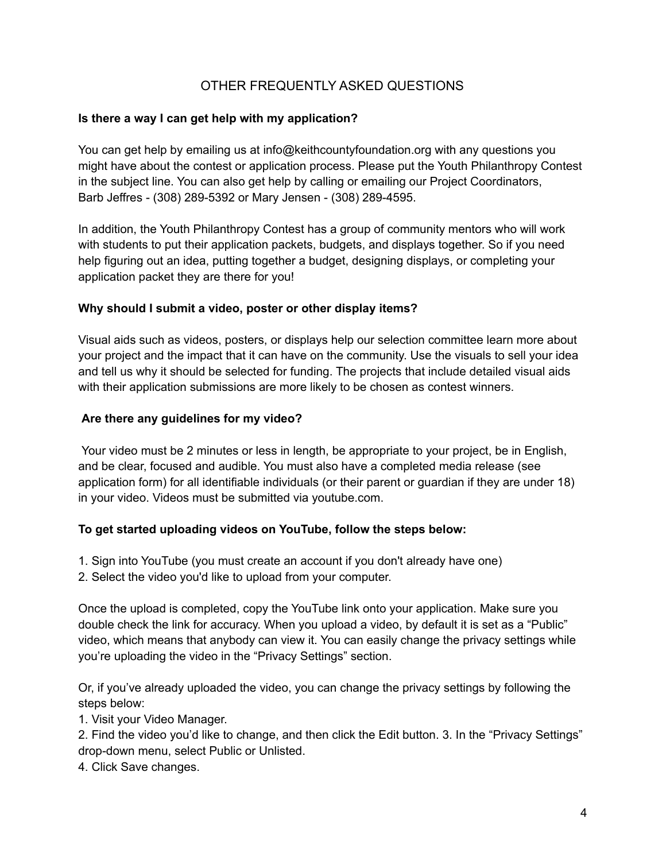# OTHER FREQUENTLY ASKED QUESTIONS

### **Is there a way I can get help with my application?**

You can get help by emailing us at info@keithcountyfoundation.org with any questions you might have about the contest or application process. Please put the Youth Philanthropy Contest in the subject line. You can also get help by calling or emailing our Project Coordinators, Barb Jeffres - (308) 289-5392 or Mary Jensen - (308) 289-4595.

In addition, the Youth Philanthropy Contest has a group of community mentors who will work with students to put their application packets, budgets, and displays together. So if you need help figuring out an idea, putting together a budget, designing displays, or completing your application packet they are there for you!

### **Why should I submit a video, poster or other display items?**

Visual aids such as videos, posters, or displays help our selection committee learn more about your project and the impact that it can have on the community. Use the visuals to sell your idea and tell us why it should be selected for funding. The projects that include detailed visual aids with their application submissions are more likely to be chosen as contest winners.

### **Are there any guidelines for my video?**

Your video must be 2 minutes or less in length, be appropriate to your project, be in English, and be clear, focused and audible. You must also have a completed media release (see application form) for all identifiable individuals (or their parent or guardian if they are under 18) in your video. Videos must be submitted via youtube.com.

#### **To get started uploading videos on YouTube, follow the steps below:**

- 1. Sign into YouTube (you must create an account if you don't already have one)
- 2. Select the video you'd like to upload from your computer.

Once the upload is completed, copy the YouTube link onto your application. Make sure you double check the link for accuracy. When you upload a video, by default it is set as a "Public" video, which means that anybody can view it. You can easily change the privacy settings while you're uploading the video in the "Privacy Settings" section.

Or, if you've already uploaded the video, you can change the privacy settings by following the steps below:

1. Visit your Video Manager.

2. Find the video you'd like to change, and then click the Edit button. 3. In the "Privacy Settings" drop-down menu, select Public or Unlisted.

4. Click Save changes.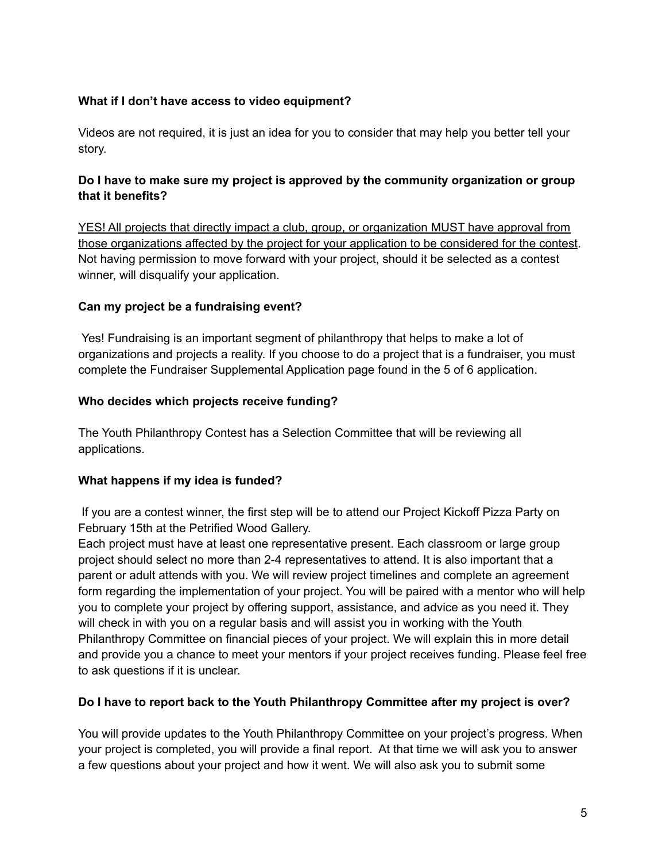# **What if I don't have access to video equipment?**

Videos are not required, it is just an idea for you to consider that may help you better tell your story.

# **Do I have to make sure my project is approved by the community organization or group that it benefits?**

YES! All projects that directly impact a club, group, or organization MUST have approval from those organizations affected by the project for your application to be considered for the contest. Not having permission to move forward with your project, should it be selected as a contest winner, will disqualify your application.

# **Can my project be a fundraising event?**

Yes! Fundraising is an important segment of philanthropy that helps to make a lot of organizations and projects a reality. If you choose to do a project that is a fundraiser, you must complete the Fundraiser Supplemental Application page found in the 5 of 6 application.

### **Who decides which projects receive funding?**

The Youth Philanthropy Contest has a Selection Committee that will be reviewing all applications.

# **What happens if my idea is funded?**

If you are a contest winner, the first step will be to attend our Project Kickoff Pizza Party on February 15th at the Petrified Wood Gallery.

Each project must have at least one representative present. Each classroom or large group project should select no more than 2-4 representatives to attend. It is also important that a parent or adult attends with you. We will review project timelines and complete an agreement form regarding the implementation of your project. You will be paired with a mentor who will help you to complete your project by offering support, assistance, and advice as you need it. They will check in with you on a regular basis and will assist you in working with the Youth Philanthropy Committee on financial pieces of your project. We will explain this in more detail and provide you a chance to meet your mentors if your project receives funding. Please feel free to ask questions if it is unclear.

# **Do I have to report back to the Youth Philanthropy Committee after my project is over?**

You will provide updates to the Youth Philanthropy Committee on your project's progress. When your project is completed, you will provide a final report. At that time we will ask you to answer a few questions about your project and how it went. We will also ask you to submit some